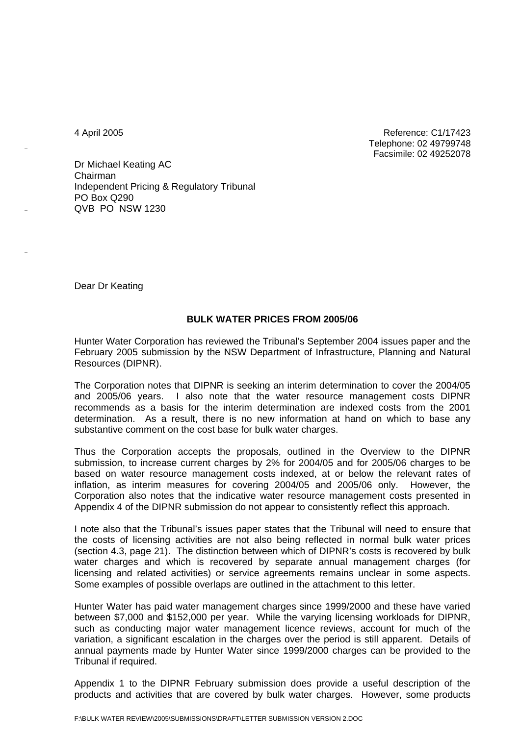4 April 2005 Reference: C1/17423 Telephone: 02 49799748 Facsimile: 02 49252078

Dr Michael Keating AC Chairman Independent Pricing & Regulatory Tribunal PO Box Q290 QVB PO NSW 1230

Dear Dr Keating

## **BULK WATER PRICES FROM 2005/06**

Hunter Water Corporation has reviewed the Tribunal's September 2004 issues paper and the February 2005 submission by the NSW Department of Infrastructure, Planning and Natural Resources (DIPNR).

The Corporation notes that DIPNR is seeking an interim determination to cover the 2004/05 and 2005/06 years. I also note that the water resource management costs DIPNR recommends as a basis for the interim determination are indexed costs from the 2001 determination. As a result, there is no new information at hand on which to base any substantive comment on the cost base for bulk water charges.

Thus the Corporation accepts the proposals, outlined in the Overview to the DIPNR submission, to increase current charges by 2% for 2004/05 and for 2005/06 charges to be based on water resource management costs indexed, at or below the relevant rates of inflation, as interim measures for covering 2004/05 and 2005/06 only. However, the Corporation also notes that the indicative water resource management costs presented in Appendix 4 of the DIPNR submission do not appear to consistently reflect this approach.

I note also that the Tribunal's issues paper states that the Tribunal will need to ensure that the costs of licensing activities are not also being reflected in normal bulk water prices (section 4.3, page 21). The distinction between which of DIPNR's costs is recovered by bulk water charges and which is recovered by separate annual management charges (for licensing and related activities) or service agreements remains unclear in some aspects. Some examples of possible overlaps are outlined in the attachment to this letter.

Hunter Water has paid water management charges since 1999/2000 and these have varied between \$7,000 and \$152,000 per year. While the varying licensing workloads for DIPNR, such as conducting major water management licence reviews, account for much of the variation, a significant escalation in the charges over the period is still apparent. Details of annual payments made by Hunter Water since 1999/2000 charges can be provided to the Tribunal if required.

Appendix 1 to the DIPNR February submission does provide a useful description of the products and activities that are covered by bulk water charges. However, some products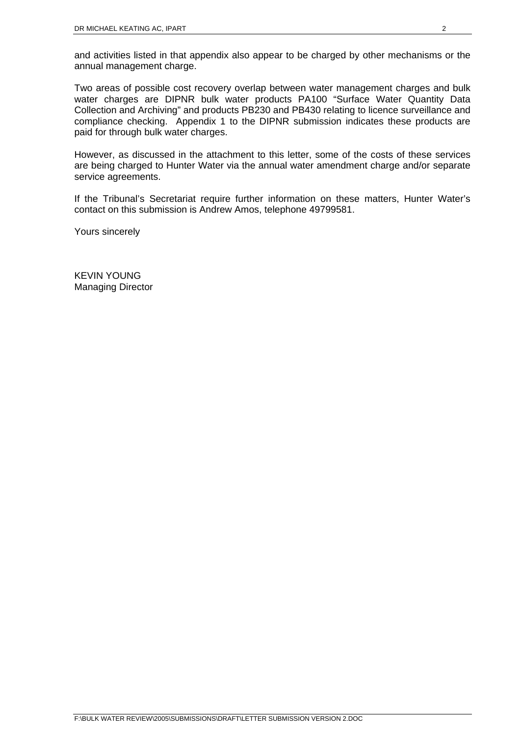and activities listed in that appendix also appear to be charged by other mechanisms or the annual management charge.

Two areas of possible cost recovery overlap between water management charges and bulk water charges are DIPNR bulk water products PA100 "Surface Water Quantity Data Collection and Archiving" and products PB230 and PB430 relating to licence surveillance and compliance checking. Appendix 1 to the DIPNR submission indicates these products are paid for through bulk water charges.

However, as discussed in the attachment to this letter, some of the costs of these services are being charged to Hunter Water via the annual water amendment charge and/or separate service agreements.

If the Tribunal's Secretariat require further information on these matters, Hunter Water's contact on this submission is Andrew Amos, telephone 49799581.

Yours sincerely

KEVIN YOUNG Managing Director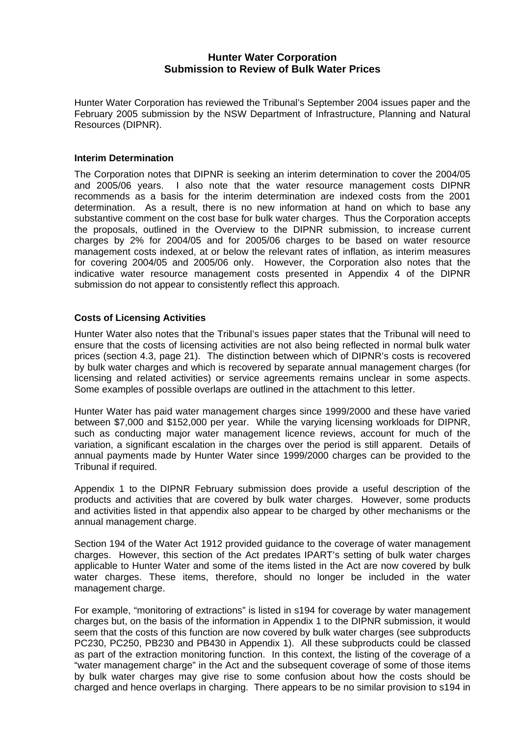## **Hunter Water Corporation Submission to Review of Bulk Water Prices**

Hunter Water Corporation has reviewed the Tribunal's September 2004 issues paper and the February 2005 submission by the NSW Department of Infrastructure, Planning and Natural Resources (DIPNR).

## **Interim Determination**

The Corporation notes that DIPNR is seeking an interim determination to cover the 2004/05 and 2005/06 years. I also note that the water resource management costs DIPNR recommends as a basis for the interim determination are indexed costs from the 2001 determination. As a result, there is no new information at hand on which to base any substantive comment on the cost base for bulk water charges. Thus the Corporation accepts the proposals, outlined in the Overview to the DIPNR submission, to increase current charges by 2% for 2004/05 and for 2005/06 charges to be based on water resource management costs indexed, at or below the relevant rates of inflation, as interim measures for covering 2004/05 and 2005/06 only. However, the Corporation also notes that the indicative water resource management costs presented in Appendix 4 of the DIPNR submission do not appear to consistently reflect this approach.

## **Costs of Licensing Activities**

Hunter Water also notes that the Tribunal's issues paper states that the Tribunal will need to ensure that the costs of licensing activities are not also being reflected in normal bulk water prices (section 4.3, page 21). The distinction between which of DIPNR's costs is recovered by bulk water charges and which is recovered by separate annual management charges (for licensing and related activities) or service agreements remains unclear in some aspects. Some examples of possible overlaps are outlined in the attachment to this letter.

Hunter Water has paid water management charges since 1999/2000 and these have varied between \$7,000 and \$152,000 per year. While the varying licensing workloads for DIPNR, such as conducting major water management licence reviews, account for much of the variation, a significant escalation in the charges over the period is still apparent. Details of annual payments made by Hunter Water since 1999/2000 charges can be provided to the Tribunal if required.

Appendix 1 to the DIPNR February submission does provide a useful description of the products and activities that are covered by bulk water charges. However, some products and activities listed in that appendix also appear to be charged by other mechanisms or the annual management charge.

Section 194 of the Water Act 1912 provided guidance to the coverage of water management charges. However, this section of the Act predates IPART's setting of bulk water charges applicable to Hunter Water and some of the items listed in the Act are now covered by bulk water charges. These items, therefore, should no longer be included in the water management charge.

For example, "monitoring of extractions" is listed in s194 for coverage by water management charges but, on the basis of the information in Appendix 1 to the DIPNR submission, it would seem that the costs of this function are now covered by bulk water charges (see subproducts PC230, PC250, PB230 and PB430 in Appendix 1). All these subproducts could be classed as part of the extraction monitoring function. In this context, the listing of the coverage of a "water management charge" in the Act and the subsequent coverage of some of those items by bulk water charges may give rise to some confusion about how the costs should be charged and hence overlaps in charging. There appears to be no similar provision to s194 in